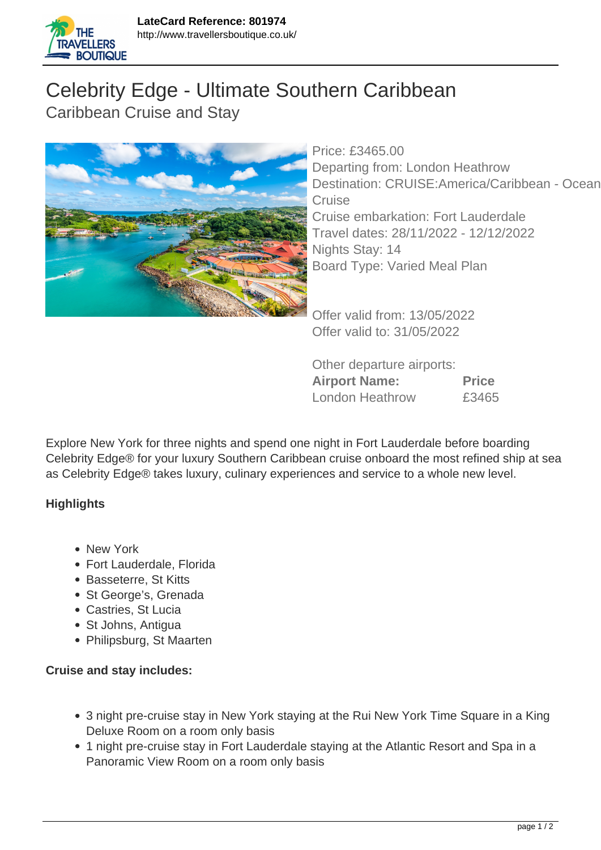

## Celebrity Edge - Ultimate Southern Caribbean Caribbean Cruise and Stay



Price: £3465.00 Departing from: London Heathrow Destination: CRUISE:America/Caribbean - Ocean **Cruise** Cruise embarkation: Fort Lauderdale Travel dates: 28/11/2022 - 12/12/2022 Nights Stay: 14 Board Type: Varied Meal Plan

Offer valid from: 13/05/2022 Offer valid to: 31/05/2022

Other departure airports: **Airport Name: Price** London Heathrow £3465

Explore New York for three nights and spend one night in Fort Lauderdale before boarding Celebrity Edge® for your luxury Southern Caribbean cruise onboard the most refined ship at sea as Celebrity Edge® takes luxury, culinary experiences and service to a whole new level.

## **Highlights**

- New York
- Fort Lauderdale, Florida
- Basseterre, St Kitts
- St George's, Grenada
- Castries, St Lucia
- St Johns, Antigua
- Philipsburg, St Maarten

## **Cruise and stay includes:**

- 3 night pre-cruise stay in New York staying at the Rui New York Time Square in a King Deluxe Room on a room only basis
- 1 night pre-cruise stay in Fort Lauderdale staying at the Atlantic Resort and Spa in a Panoramic View Room on a room only basis